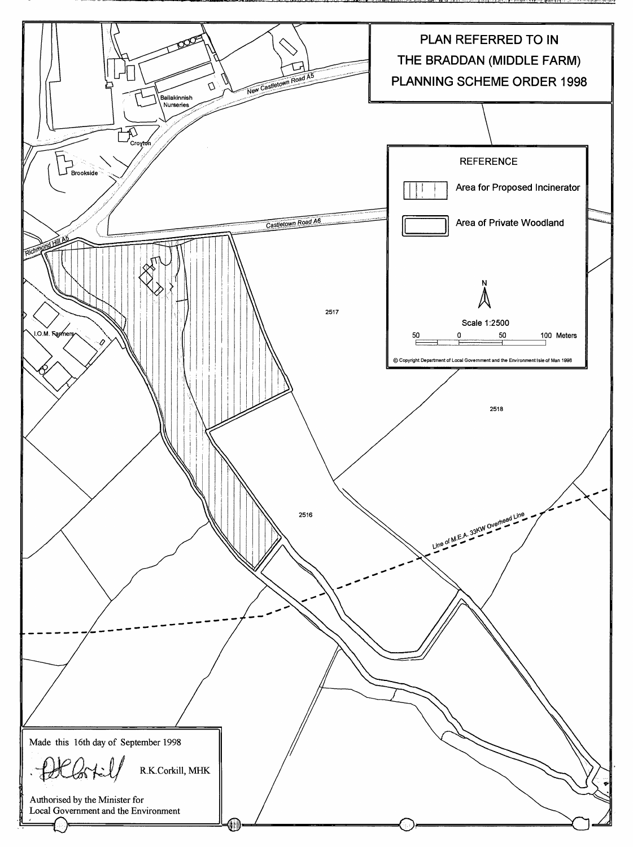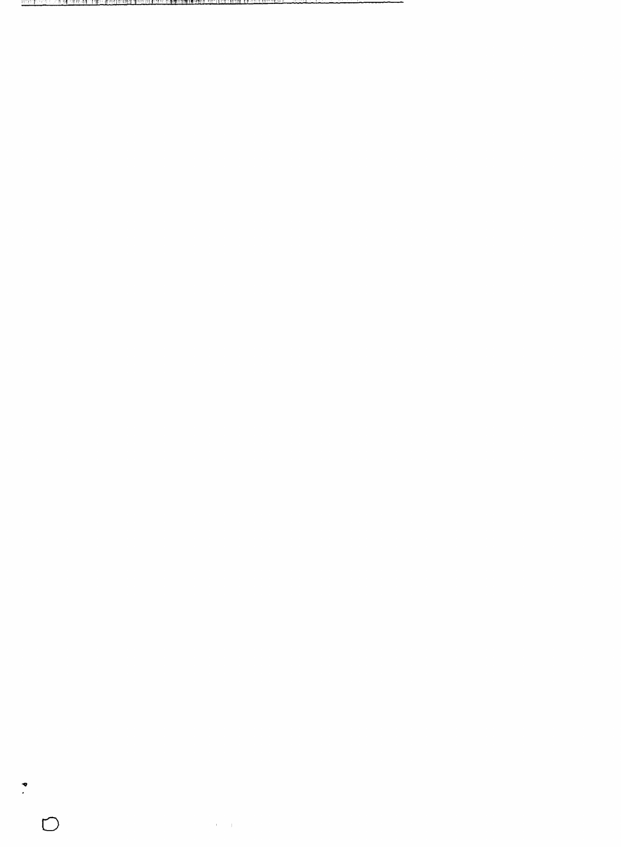14 H 三地 视频增生 法律组 0' 猪,肉141.00 B 猪皮、猪.500.500 最近比 vol.50 都**路**店は雄活動活動

 $\label{eq:2.1} \mathcal{L}=\left\{ \mathbf{1},\cdots,\mathbf{1}\right\} ,\cdots$ 

**^92** 

 $\bigcirc$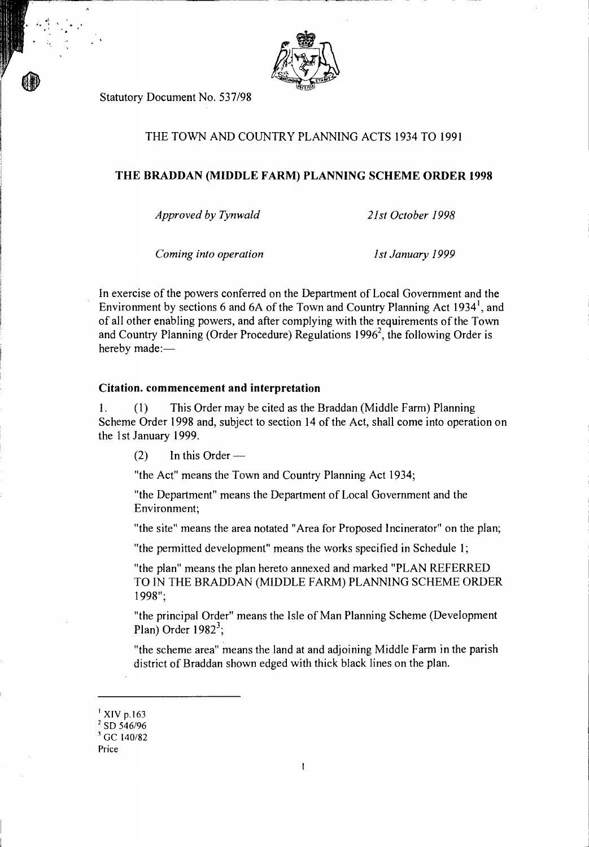

Statutory Document No. 537/98

# THE TOWN AND COUNTRY PLANNING ACTS 1934 TO 1991

## **THE BRADDAN (MIDDLE FARM) PLANNING SCHEME ORDER 1998**

*Approved by Tynwald 21st October 1998* 

*Coming into operation 1st January 1999* 

In exercise of the powers conferred on the Department of Local Government and the Environment by sections 6 and 6A of the Town and Country Planning Act 1934<sup>1</sup>, and of all other enabling powers, and after complying with the requirements of the Town and Country Planning (Order Procedure) Regulations 1996<sup>2</sup>, the following Order is hereby made:—

# **Citation. commencement and interpretation**

**1.** (1) This Order may be cited as the Braddan (Middle Farm) Planning Scheme Order 1998 and, subject to section 14 of the Act, shall come into operation on the 1st January 1999.

 $(2)$  In this Order —

"the Act" means the Town and Country Planning Act 1934;

"the Department" means the Department of Local Government and the Environment;

"the site" means the area notated "Area for Proposed Incinerator" on the plan;

"the permitted development" means the works specified in Schedule 1;

"the plan" means the plan hereto annexed and marked "PLAN REFERRED TO IN THE BRADDAN (MIDDLE FARM) PLANNING SCHEME ORDER 1998";

"the principal Order" means the Isle of Man Planning Scheme (Development Plan) Order  $1982^3$ ;

"the scheme area" means the land at and adjoining Middle Farm in the parish district of Braddan shown edged with thick black lines on the plan.

XIV p.163

 $^{2}$  SD 546/96

 $3$  GC 140/82

Price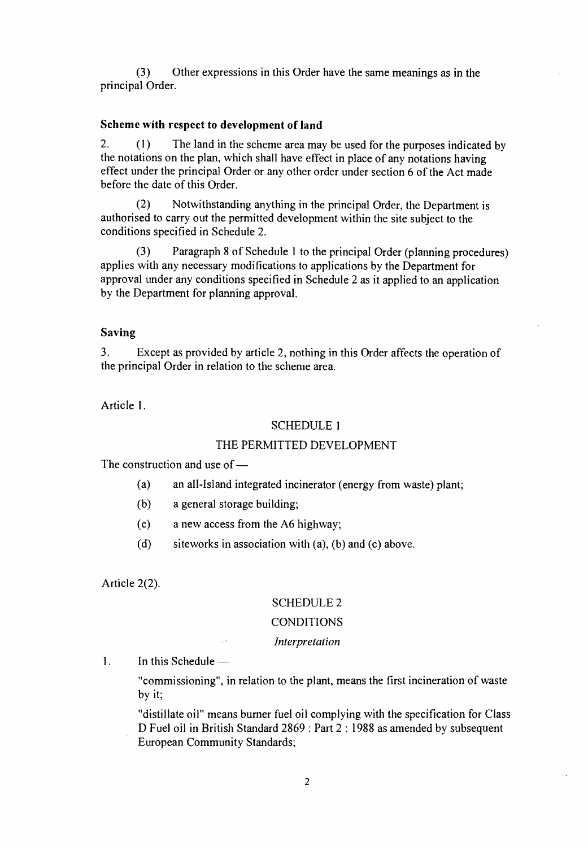(3) Other expressions in this Order have the same meanings as in the principal Order.

### **Scheme with respect to development of land**

2. (1) The land in the scheme area may be used for the purposes indicated by the notations on the plan, which shall have effect in place of any notations having effect under the principal Order or any other order under section 6 of the Act made before the date of this Order.

(2) Notwithstanding anything in the principal Order, the Department is authorised to carry out the permitted development within the site subject to the conditions specified in Schedule 2.

(3) Paragraph 8 of Schedule 1 to the principal Order (planning procedures) applies with any necessary modifications to applications by the Department for approval under any conditions specified in Schedule 2 as it applied to an application by the Department for planning approval.

## **Saving**

3. Except as provided by article 2, nothing in this Order affects the operation of the principal Order in relation to the scheme area.

Article 1.

# SCHEDULE 1

# THE PERMITTED DEVELOPMENT

The construction and use of  $-$ 

- (a) an all-Island integrated incinerator (energy from waste) plant;
- (b) a general storage building;
- (c) a new access from the A6 highway;
- (d) siteworks in association with  $(a)$ ,  $(b)$  and  $(c)$  above.

Article 2(2).

# SCHEDULE 2

#### CONDITIONS

#### *Interpretation*

1. In this Schedule  $-$ 

"commissioning", in relation to the plant, means the first incineration of waste by it;

"distillate oil" means burner fuel oil complying with the specification for Class D Fuel oil in British Standard 2869 : Part 2 : 1988 as amended by subsequent European Community Standards;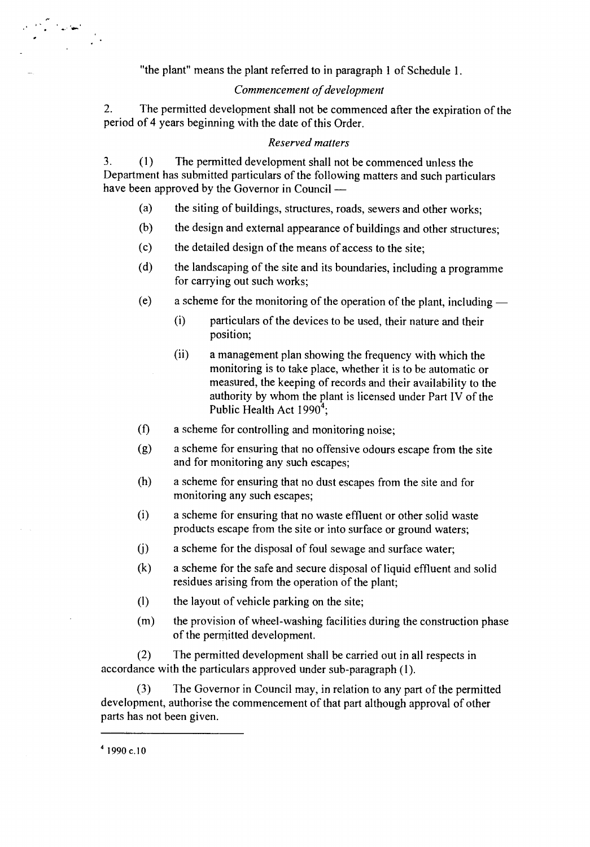"the plant" means the plant referred to in paragraph 1 of Schedule 1.

# *Commencement of development*

2. The permitted development shall not be commenced after the expiration of the period of 4 years beginning with the date of this Order.

## *Reserved matters*

3. (1) The permitted development shall not be commenced unless the Department has submitted particulars of the following matters and such particulars have been approved by the Governor in Council -

- (a) the siting of buildings, structures, roads, sewers and other works;
- (b) the design and external appearance of buildings and other structures;
- (c) the detailed design of the means of access to the site;
- (d) the landscaping of the site and its boundaries, including a programme for carrying out such works;
- (e) a scheme for the monitoring of the operation of the plant, including  $-$ 
	- (i) particulars of the devices to be used, their nature and their position;
	- (ii) a management plan showing the frequency with which the monitoring is to take place, whether it is to be automatic or measured, the keeping of records and their availability to the authority by whom the plant is licensed under Part IV of the Public Health Act  $1990<sup>4</sup>$ ;
- a scheme for controlling and monitoring noise; (f)
- a scheme for ensuring that no offensive odours escape from the site and for monitoring any such escapes; (g)
- (h) a scheme for ensuring that no dust escapes from the site and for monitoring any such escapes;
- $(i)$ a scheme for ensuring that no waste effluent or other solid waste products escape from the site or into surface or ground waters;
- $(j)$ a scheme for the disposal of foul sewage and surface water;
- (k) a scheme for the safe and secure disposal of liquid effluent and solid residues arising from the operation of the plant;
- (I) the layout of vehicle parking on the site;
- (m) the provision of wheel-washing facilities during the construction phase of the permitted development.

(2) The permitted development shall be carried out in all respects in accordance with the particulars approved under sub-paragraph (1).

(3) The Governor in Council may, in relation to any part of the permitted development, authorise the commencement of that part although approval of other parts has not been given.

**<sup>4</sup>**1990 c.10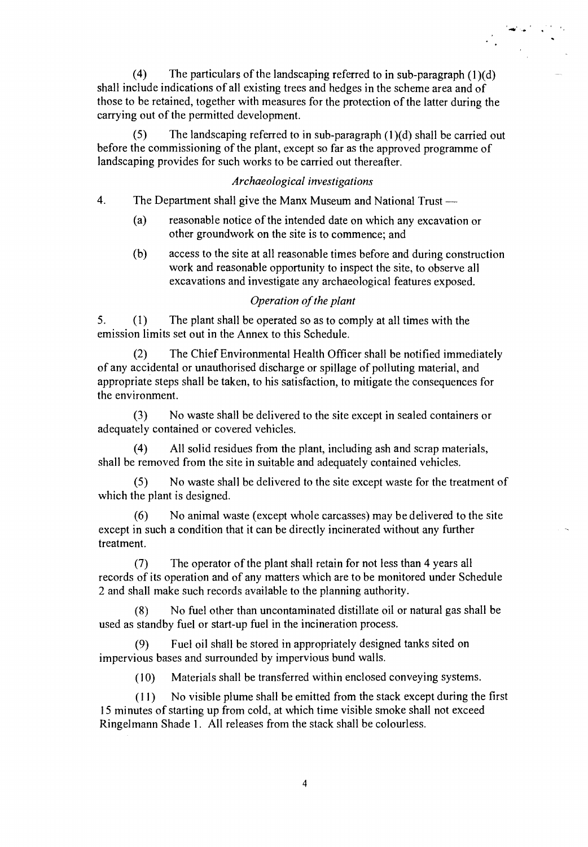(4) The particulars of the landscaping referred to in sub-paragraph  $(1)(d)$ shall include indications of all existing trees and hedges in the scheme area and of those to be retained, together with measures for the protection of the latter during the carrying out of the permitted development.

(5) The landscaping referred to in sub-paragraph  $(1)(d)$  shall be carried out before the commissioning of the plant, except so far as the approved programme of landscaping provides for such works to be carried out thereafter.

# *Archaeological investigations*

4. The Department shall give the Manx Museum and National Trust -

- (a) reasonable notice of the intended date on which any excavation or other groundwork on the site is to commence; and
- (b) access to the site at all reasonable times before and during construction work and reasonable opportunity to inspect the site, to observe all excavations and investigate any archaeological features exposed.

# *Operation of the plant*

5. (1) The plant shall be operated so as to comply at all times with the emission limits set out in the Annex to this Schedule.

(2) The Chief Environmental Health Officer shall be notified immediately of any accidental or unauthorised discharge or spillage of polluting material, and appropriate steps shall be taken, to his satisfaction, to mitigate the consequences for the environment.

(3) No waste shall be delivered to the site except in sealed containers or adequately contained or covered vehicles.

(4) All solid residues from the plant, including ash and scrap materials, shall be removed from the site in suitable and adequately contained vehicles.

(5) No waste shall be delivered to the site except waste for the treatment of which the plant is designed.

(6) No animal waste (except whole carcasses) may be delivered to the site except in such a condition that it can be directly incinerated without any further treatment.

(7) The operator of the plant shall retain for not less than 4 years all records of its operation and of any matters which are to be monitored under Schedule 2 and shall make such records available to the planning authority.

(8) No fuel other than uncontaminated distillate oil or natural gas shall be used as standby fuel or start-up fuel in the incineration process.

(9) Fuel oil shall be stored in appropriately designed tanks sited on impervious bases and surrounded by impervious bund walls.

(10) Materials shall be transferred within enclosed conveying systems.

(11) No visible plume shall be emitted from the stack except during the first 15 minutes of starting up from cold, at which time visible smoke shall not exceed Ringelmann Shade 1. All releases from the stack shall be colourless.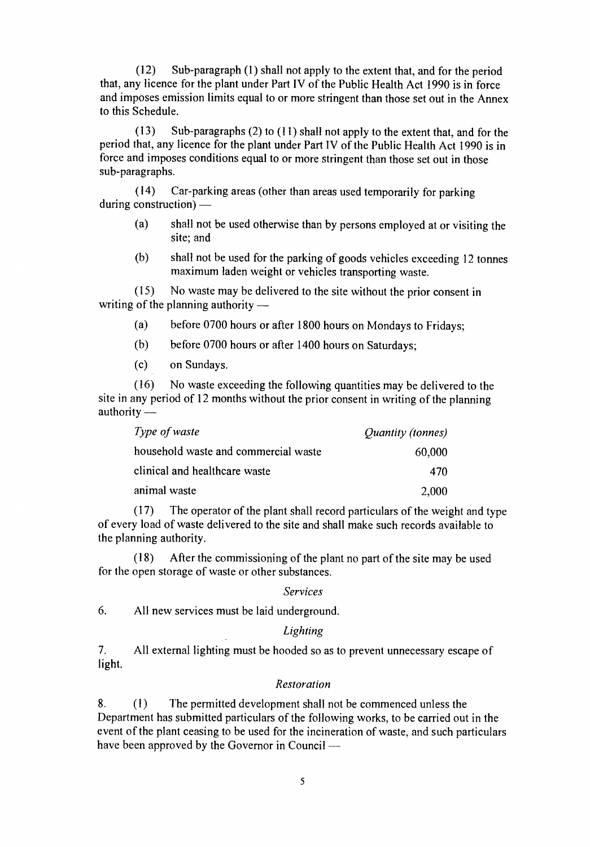(12) Sub-paragraph (1) shall not apply to the extent that, and for the period that, any licence for the plant under Part IV of the Public Health Act 1990 is in force and imposes emission limits equal to or more stringent than those set out in the Annex to this Schedule.

(13) Sub-paragraphs (2) to (11) shall not apply to the extent that, and for the period that, any licence for the plant under Part IV of the Public Health Act 1990 is in force and imposes conditions equal to or more stringent than those set out in those sub-paragraphs.

(14) Car-parking areas (other than areas used temporarily for parking during construction)  $-$ 

- (a) shall not be used otherwise than by persons employed at or visiting the site; and
- (b) shall not be used for the parking of goods vehicles exceeding 12 tonnes maximum laden weight or vehicles transporting waste.

(15) No waste may be delivered to the site without the prior consent in writing of the planning authority  $-$ 

- (a) before 0700 hours or after 1800 hours on Mondays to Fridays;
- (b) before 0700 hours or after 1400 hours on Saturdays;
- (c) on Sundays.

(16) No waste exceeding the following quantities may be delivered to the site in any period of 12 months without the prior consent in writing of the planning (16) N<br>site in any perior<br>authority –

| Type of waste                        | Quantity (tonnes) |
|--------------------------------------|-------------------|
| household waste and commercial waste | 60,000            |
| clinical and healthcare waste        | 470               |
| animal waste                         | 2,000             |

(17) The operator of the plant shall record particulars of the weight and type of every load of waste delivered to the site and shall make such records available to the planning authority.

(18) After the commissioning of the plant no part of the site may be used for the open storage of waste or other substances.

### *Services*

6. All new services must be laid underground.

# *Lighting*

7. All external lighting must be hooded so as to prevent unnecessary escape of light.

## *Restoration*

8. (1) The permitted development shall not be commenced unless the Department has submitted particulars of the following works, to be carried out in the event of the plant ceasing to be used for the incineration of waste, and such particulars have been approved by the Governor in Council —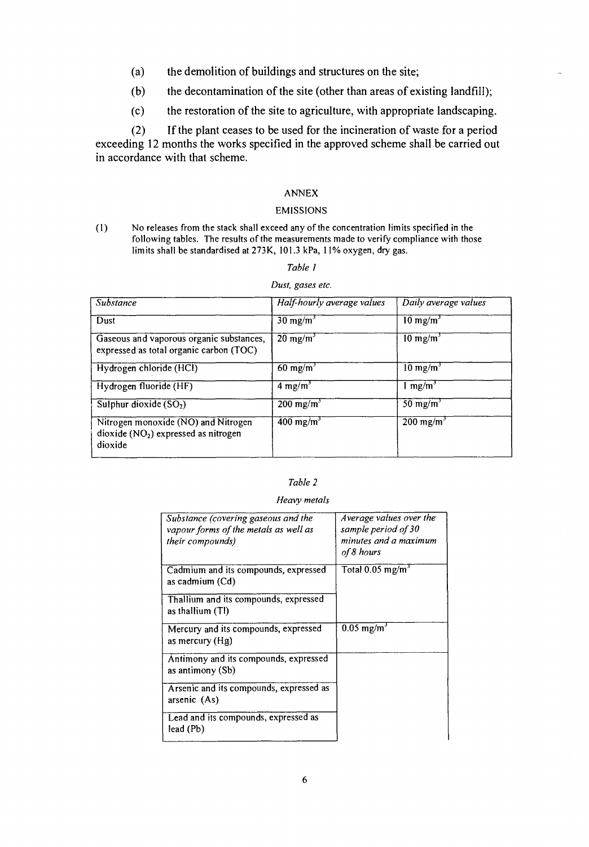- (a) the demolition of buildings and structures on the site;
- (b) the decontamination of the site (other than areas of existing landfill);
- (c) the restoration of the site to agriculture, with appropriate landscaping.

(2) If the plant ceases to be used for the incineration of waste for a period exceeding 12 months the works specified in the approved scheme shall be carried out in accordance with that scheme.

### ANNEX

# EMISSIONS

(1 ) No releases from the stack shall exceed any of the concentration limits specified in the following tables. The results of the measurements made to verify compliance with those limits shall be standardised at 273K, 101.3 kPa, 11% oxygen, dry gas.

### *Table 1*

#### *Dust, gases etc.*

| Substance                                                                               | Half-hourly average values         | Daily average values              |
|-----------------------------------------------------------------------------------------|------------------------------------|-----------------------------------|
| Dust                                                                                    | $\frac{30}{2}$ mg/m <sup>3</sup>   | $10 \text{ mg/m}^3$               |
| Gaseous and vaporous organic substances,<br>expressed as total organic carbon (TOC)     | $20 \text{ mg/m}^3$                | $10 \text{ mg/m}^3$               |
| Hydrogen chloride (HCl)                                                                 | $60 \text{ mg/m}^3$                | $10 \text{ mg/m}^3$               |
| Hydrogen fluoride (HF)                                                                  | $4 \text{ mg/m}^3$                 | $1 \text{ mg/m}^3$                |
| Sulphur dioxide $(SO2)$                                                                 | $\overline{200}$ mg/m <sup>3</sup> | $50 \text{ mg/m}^3$               |
| Nitrogen monoxide (NO) and Nitrogen<br>dioxide $(NO2)$ expressed as nitrogen<br>dioxide | $400$ mg/m <sup>3</sup>            | $\frac{1}{200}$ mg/m <sup>3</sup> |

# *Table 2*

### *Heavy metals*

| Substance (covering gaseous and the<br>vapour forms of the metals as well as<br>their compounds) | Average values over the<br>sample period of 30<br>minutes and a maximum<br>of 8 hours |
|--------------------------------------------------------------------------------------------------|---------------------------------------------------------------------------------------|
| Cadmium and its compounds, expressed<br>as cadmium (Cd)                                          | Total $0.05$ mg/m <sup>3</sup>                                                        |
| Thallium and its compounds, expressed<br>as thallium (TI)                                        |                                                                                       |
| Mercury and its compounds, expressed<br>as mercury (Hg)                                          | $0.05$ mg/m <sup>3</sup>                                                              |
| Antimony and its compounds, expressed<br>as antimony (Sb)                                        |                                                                                       |
| Arsenic and its compounds, expressed as<br>arsenic $(As)$                                        |                                                                                       |
| Lead and its compounds, expressed as<br>lead (Pb)                                                |                                                                                       |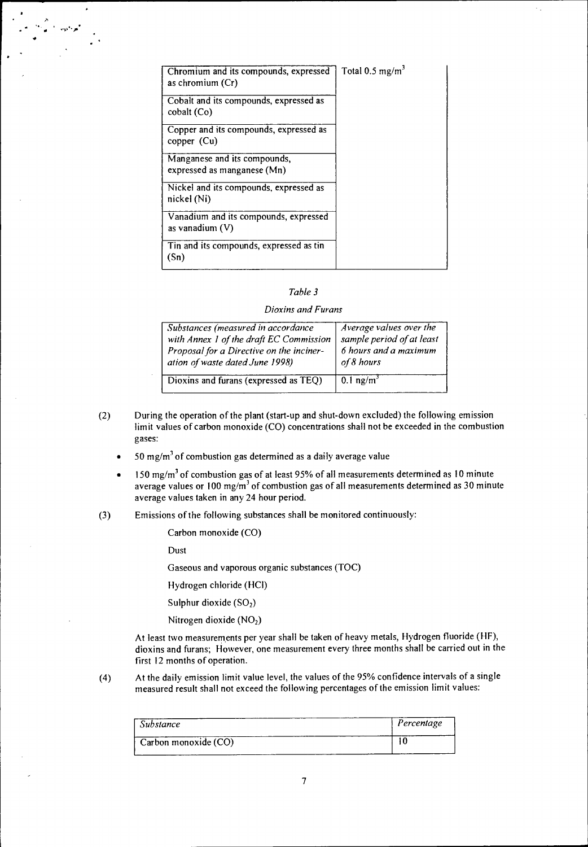| Chromium and its compounds, expressed<br>as chromium (Cr)   | Total 0.5 mg/m <sup>3</sup> |
|-------------------------------------------------------------|-----------------------------|
| Cobalt and its compounds, expressed as<br>cobalt (Co)       |                             |
| Copper and its compounds, expressed as<br>copper $(Cu)$     |                             |
| Manganese and its compounds,<br>expressed as manganese (Mn) |                             |
| Nickel and its compounds, expressed as<br>nickel (Ni)       |                             |
| Vanadium and its compounds, expressed<br>as vanadium $(V)$  |                             |
| Tin and its compounds, expressed as tin<br>(Sn)             |                             |

÷.,

#### *Table 3*

#### *Dioxins and Furans*

| Substances (measured in accordance       | Average values over the   |
|------------------------------------------|---------------------------|
| with Annex 1 of the draft EC Commission  | sample period of at least |
| Proposal for a Directive on the inciner- | 6 hours and a maximum     |
| ation of waste dated June 1998)          | of 8 hours                |
| Dioxins and furans (expressed as TEQ)    | 0.1 ng/m <sup>3</sup>     |

اھ<br>سالان<sup>46</sup> سالان <sup>195</sup>ال سالان<br>سال

- (2) During the operation of the plant (start-up and shut-down excluded) the following emission limit values of carbon monoxide (CO) concentrations shall not be exceeded in the combustion gases:
	- 50 mg/m<sup>3</sup> of combustion gas determined as a daily average value
	- $150$  mg/m<sup>3</sup> of combustion gas of at least 95% of all measurements determined as 10 minute average values or 100 mg/m<sup>3</sup> of combustion gas of all measurements determined as 30 minute average values taken in any 24 hour period.
- (3) Emissions of the following substances shall be monitored continuously:
	- Carbon monoxide (CO)

Dust

Gaseous and vaporous organic substances (TOC)

- Hydrogen chloride (HCl)
- Sulphur dioxide  $(SO<sub>2</sub>)$
- Nitrogen dioxide (NO<sub>2</sub>)

At least two measurements per year shall be taken of heavy metals, Hydrogen fluoride (HF), dioxins and furans; However, one measurement every three months shall be carried out in the first 12 months of operation.

(4) At the daily emission limit value level, the values of the 95% confidence intervals of a single measured result shall not exceed the following percentages of the emission limit values:

| <i>Substance</i>     | Percentage |
|----------------------|------------|
| Carbon monoxide (CO) |            |